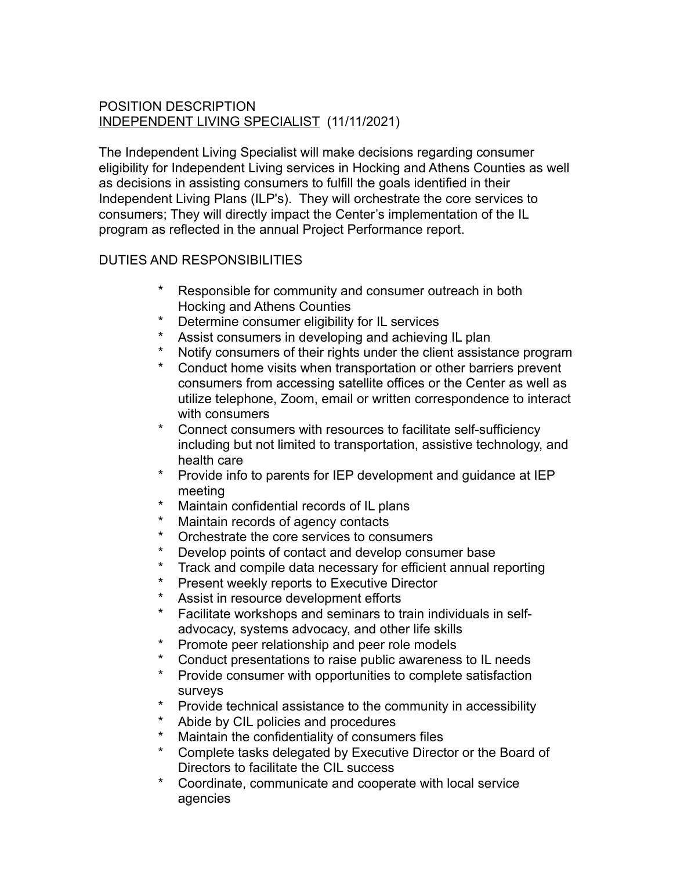## POSITION DESCRIPTION INDEPENDENT LIVING SPECIALIST (11/11/2021)

The Independent Living Specialist will make decisions regarding consumer eligibility for Independent Living services in Hocking and Athens Counties as well as decisions in assisting consumers to fulfill the goals identified in their Independent Living Plans (ILP's). They will orchestrate the core services to consumers; They will directly impact the Center's implementation of the IL program as reflected in the annual Project Performance report.

## DUTIES AND RESPONSIBILITIES

- Responsible for community and consumer outreach in both Hocking and Athens Counties
- Determine consumer eligibility for IL services
- \* Assist consumers in developing and achieving IL plan<br>\* Notify consumers of their rights under the client assista
- Notify consumers of their rights under the client assistance program
- Conduct home visits when transportation or other barriers prevent consumers from accessing satellite offices or the Center as well as utilize telephone, Zoom, email or written correspondence to interact with consumers
- Connect consumers with resources to facilitate self-sufficiency including but not limited to transportation, assistive technology, and health care
- Provide info to parents for IEP development and guidance at IEP meeting
- \* Maintain confidential records of IL plans
- Maintain records of agency contacts
- \* Orchestrate the core services to consumers
- Develop points of contact and develop consumer base
- \* Track and compile data necessary for efficient annual reporting
- Present weekly reports to Executive Director
- \* Assist in resource development efforts
- \* Facilitate workshops and seminars to train individuals in selfadvocacy, systems advocacy, and other life skills
- Promote peer relationship and peer role models
- \* Conduct presentations to raise public awareness to IL needs
- \* Provide consumer with opportunities to complete satisfaction surveys
- \* Provide technical assistance to the community in accessibility
- Abide by CIL policies and procedures
- \* Maintain the confidentiality of consumers files<br>\* Complete tasks delegated by Executive Direct
- Complete tasks delegated by Executive Director or the Board of Directors to facilitate the CIL success
- \* Coordinate, communicate and cooperate with local service agencies